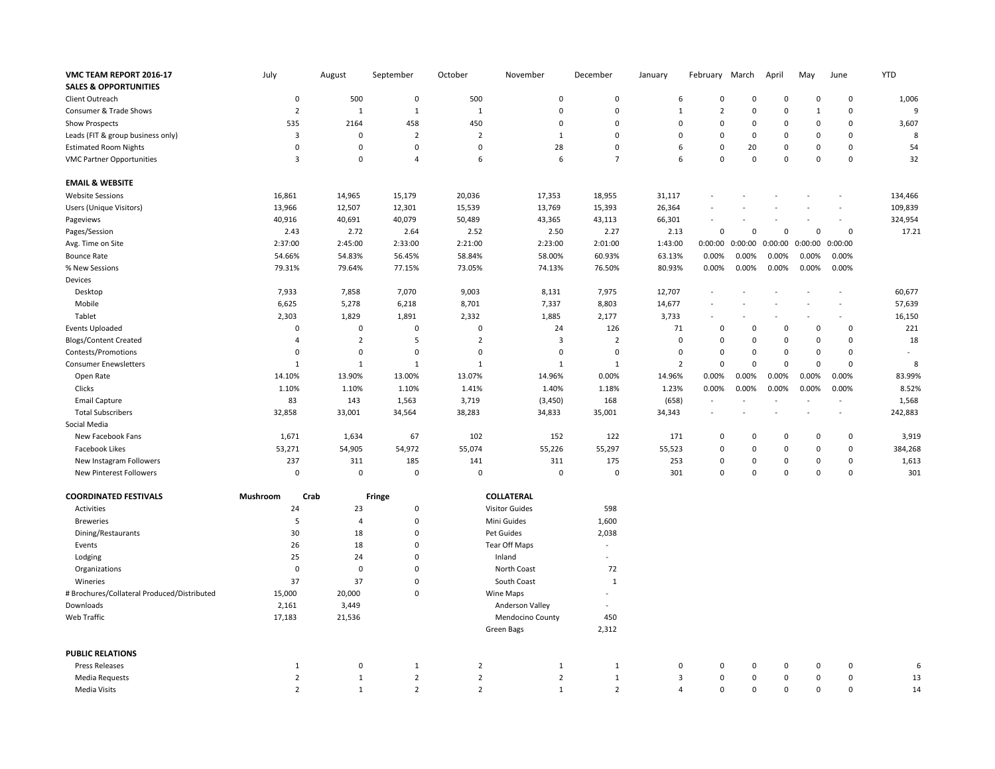| VMC TEAM REPORT 2016-17<br><b>SALES &amp; OPPORTUNITIES</b> | July            | August         | September      | October           | November              | December       | January                 | February                 | March       | April                    | May            | June        | <b>YTD</b> |
|-------------------------------------------------------------|-----------------|----------------|----------------|-------------------|-----------------------|----------------|-------------------------|--------------------------|-------------|--------------------------|----------------|-------------|------------|
| Client Outreach                                             | $\mathbf 0$     | 500            | $\pmb{0}$      | 500               | $\Omega$              | $\mathbf 0$    | 6                       | $\mathbf 0$              | $\Omega$    | $\mathbf 0$              | $\Omega$       | 0           | 1,006      |
| Consumer & Trade Shows                                      | $\overline{2}$  | $\mathbf{1}$   | $\mathbf{1}$   | 1                 | $\mathbf 0$           | $\mathbf 0$    | $\mathbf{1}$            | $\overline{2}$           | $\Omega$    | $\mathbf 0$              | $\overline{1}$ | 0           | 9          |
| <b>Show Prospects</b>                                       | 535             | 2164           | 458            | 450               | $\mathsf 0$           | $\mathbf 0$    | $\mathbf 0$             | $\mathbf 0$              | $\mathbf 0$ | $\mathbf 0$              | $\mathbf 0$    | 0           | 3,607      |
| Leads (FIT & group business only)                           | 3               | $\mathbf 0$    | $\overline{2}$ | $\overline{2}$    | $\mathbf{1}$          | $\mathbf 0$    | $\mathbf 0$             | $\Omega$                 | $\Omega$    | $\mathbf 0$              | $\Omega$       | 0           | 8          |
| <b>Estimated Room Nights</b>                                | $\Omega$        | $\Omega$       | $\mathbf 0$    | $\Omega$          | 28                    | $\mathbf 0$    | 6                       | $\Omega$                 | 20          | $\mathbf 0$              | $\Omega$       | 0           | 54         |
| <b>VMC Partner Opportunities</b>                            | 3               | $\pmb{0}$      | $\overline{4}$ | 6                 | 6                     | $\overline{7}$ | 6                       | $\Omega$                 | $\mathbf 0$ | $\mathbf 0$              | $\mathbf 0$    | 0           | 32         |
|                                                             |                 |                |                |                   |                       |                |                         |                          |             |                          |                |             |            |
| <b>EMAIL &amp; WEBSITE</b>                                  |                 |                |                |                   |                       |                |                         |                          |             |                          |                |             |            |
| <b>Website Sessions</b>                                     | 16,861          | 14,965         | 15,179         | 20,036            | 17,353                | 18,955         | 31,117                  |                          |             |                          |                |             | 134,466    |
| Users (Unique Visitors)                                     | 13,966          | 12,507         | 12,301         | 15,539            | 13,769                | 15,393         | 26,364                  |                          |             |                          |                | $\sim$      | 109,839    |
| Pageviews                                                   | 40,916          | 40,691         | 40,079         | 50,489            | 43,365                | 43,113         | 66,301                  |                          |             |                          |                | $\sim$      | 324,954    |
| Pages/Session                                               | 2.43            | 2.72           | 2.64           | 2.52              | 2.50                  | 2.27           | 2.13                    | $\mathbf 0$              | $\Omega$    | $\mathbf 0$              | $\mathbf 0$    | $\mathsf 0$ | 17.21      |
| Avg. Time on Site                                           | 2:37:00         | 2:45:00        | 2:33:00        | 2:21:00           | 2:23:00               | 2:01:00        | 1:43:00                 | 0:00:00                  | 0:00:00     | 0:00:00                  | 0:00:00        | 0:00:00     |            |
| <b>Bounce Rate</b>                                          | 54.66%          | 54.83%         | 56.45%         | 58.84%            | 58.00%                | 60.93%         | 63.13%                  | 0.00%                    | 0.00%       | 0.00%                    | 0.00%          | 0.00%       |            |
| % New Sessions                                              | 79.31%          | 79.64%         | 77.15%         | 73.05%            | 74.13%                | 76.50%         | 80.93%                  | 0.00%                    | 0.00%       | 0.00%                    | 0.00%          | 0.00%       |            |
| Devices                                                     |                 |                |                |                   |                       |                |                         |                          |             |                          |                |             |            |
| Desktop                                                     | 7,933           | 7,858          | 7,070          | 9,003             | 8,131                 | 7,975          | 12,707                  | $\sim$                   |             |                          |                |             | 60,677     |
| Mobile                                                      | 6,625           | 5,278          | 6,218          | 8,701             | 7,337                 | 8,803          | 14,677                  |                          |             |                          |                |             | 57,639     |
| Tablet                                                      | 2,303           | 1,829          | 1,891          | 2,332             | 1,885                 | 2,177          | 3,733                   | $\overline{\phantom{a}}$ |             | $\overline{\phantom{a}}$ |                |             | 16,150     |
| <b>Events Uploaded</b>                                      | $\Omega$        | $\mathbf 0$    | $\pmb{0}$      | $\Omega$          | 24                    | 126            | 71                      | $\Omega$                 | $\Omega$    | $\mathbf 0$              | $\Omega$       | $\Omega$    | 221        |
| <b>Blogs/Content Created</b>                                | 4               | $\overline{2}$ | 5              | $\overline{2}$    | $\overline{3}$        | $\overline{2}$ | $\mathbf 0$             | 0                        | $\mathbf 0$ | $\mathbf 0$              | $\mathbf 0$    | 0           | 18         |
| Contests/Promotions                                         | $\mathbf 0$     | $\pmb{0}$      | $\pmb{0}$      | $\mathsf 0$       | $\mathbf 0$           | $\pmb{0}$      | $\pmb{0}$               | $\mathsf 0$              | $\mathbf 0$ | $\mathbf 0$              | $\mathbf 0$    | 0           |            |
| <b>Consumer Enewsletters</b>                                | $\mathbf{1}$    | $1\,$          | $\mathbf{1}$   | 1                 | $\mathbf{1}$          | $\mathbf 1$    | $\overline{2}$          | $\mathbf 0$              | $\Omega$    | $\mathbf 0$              | $\mathbf 0$    | 0           | 8          |
| Open Rate                                                   | 14.10%          | 13.90%         | 13.00%         | 13.07%            | 14.96%                | 0.00%          | 14.96%                  | 0.00%                    | 0.00%       | 0.00%                    | 0.00%          | 0.00%       | 83.99%     |
| Clicks                                                      | 1.10%           | 1.10%          | 1.10%          | 1.41%             | 1.40%                 | 1.18%          | 1.23%                   | 0.00%                    | 0.00%       | 0.00%                    | 0.00%          | 0.00%       | 8.52%      |
| <b>Email Capture</b>                                        | 83              | 143            | 1,563          | 3,719             | (3, 450)              | 168            | (658)                   | $\sim$                   | ÷,          | $\overline{\phantom{a}}$ |                |             | 1,568      |
| <b>Total Subscribers</b>                                    | 32,858          | 33,001         | 34,564         | 38,283            | 34,833                | 35,001         | 34,343                  |                          |             |                          |                |             | 242,883    |
| Social Media                                                |                 |                |                |                   |                       |                |                         |                          |             |                          |                |             |            |
| New Facebook Fans                                           | 1,671           | 1,634          | 67             | 102               | 152                   | 122            | 171                     | $\mathbf 0$              | $\mathbf 0$ | $\mathbf 0$              | $\mathbf 0$    | 0           | 3,919      |
| Facebook Likes                                              | 53,271          | 54,905         | 54,972         | 55,074            | 55,226                | 55,297         | 55,523                  | $\Omega$                 | $\mathbf 0$ | $\mathbf 0$              | $\mathbf 0$    | 0           | 384,268    |
| New Instagram Followers                                     | 237             | 311            | 185            | 141               | 311                   | 175            | 253                     | $\Omega$                 | $\mathbf 0$ | $\mathbf 0$              | $\mathbf 0$    | 0           | 1,613      |
| New Pinterest Followers                                     | $\mathsf 0$     | $\pmb{0}$      | $\mathsf 0$    | $\mathbf 0$       | $\mathsf 0$           | $\mathbf 0$    | 301                     | $\mathsf 0$              | $\mathbf 0$ | $\mathbf 0$              | $\mathbf 0$    | 0           | 301        |
|                                                             |                 |                |                |                   |                       |                |                         |                          |             |                          |                |             |            |
| <b>COORDINATED FESTIVALS</b>                                | <b>Mushroom</b> | Crab           | Fringe         | <b>COLLATERAL</b> |                       |                |                         |                          |             |                          |                |             |            |
| Activities                                                  | 24              | 23             | $\pmb{0}$      |                   | <b>Visitor Guides</b> | 598            |                         |                          |             |                          |                |             |            |
| <b>Breweries</b>                                            | 5               | $\overline{4}$ | $\pmb{0}$      |                   | Mini Guides           | 1,600          |                         |                          |             |                          |                |             |            |
| Dining/Restaurants                                          | 30              | 18             | $\pmb{0}$      |                   | Pet Guides            | 2,038          |                         |                          |             |                          |                |             |            |
| Events                                                      | 26              | 18             | $\mathbf 0$    |                   | Tear Off Maps         | $\sim$         |                         |                          |             |                          |                |             |            |
| Lodging                                                     | 25              | 24             | $\pmb{0}$      |                   | Inland                | ÷,             |                         |                          |             |                          |                |             |            |
| Organizations                                               | $\mathsf 0$     | $\mathbf 0$    | $\mathbf 0$    |                   | North Coast           | 72             |                         |                          |             |                          |                |             |            |
| Wineries                                                    | 37              | 37             | $\pmb{0}$      |                   | South Coast           | $\mathbf{1}$   |                         |                          |             |                          |                |             |            |
| # Brochures/Collateral Produced/Distributed                 | 15,000          | 20,000         | $\mathbf 0$    |                   | Wine Maps             |                |                         |                          |             |                          |                |             |            |
| Downloads                                                   | 2,161           | 3,449          |                |                   | Anderson Valley       | ÷,             |                         |                          |             |                          |                |             |            |
| Web Traffic                                                 | 17,183          | 21,536         |                |                   | Mendocino County      | 450            |                         |                          |             |                          |                |             |            |
|                                                             |                 |                |                |                   | Green Bags            | 2,312          |                         |                          |             |                          |                |             |            |
| <b>PUBLIC RELATIONS</b>                                     |                 |                |                |                   |                       |                |                         |                          |             |                          |                |             |            |
| <b>Press Releases</b>                                       | $\mathbf{1}$    | $\pmb{0}$      | $\mathbf{1}$   | $\overline{2}$    | $\mathbf{1}$          | 1              | $\mathbf 0$             | 0                        | $\mathbf 0$ | 0                        | $\mathbf 0$    | 0           | 6          |
| <b>Media Requests</b>                                       | $\overline{2}$  | $\mathbf{1}$   | $\overline{2}$ | $\overline{2}$    | $\overline{2}$        | $\mathbf{1}$   | $\overline{\mathbf{3}}$ | $\Omega$                 | $\Omega$    | $\mathbf 0$              | $\Omega$       | 0           | 13         |
| Media Visits                                                | $\overline{2}$  | $\mathbf{1}$   | $\overline{2}$ | $\overline{2}$    | $1\,$                 | $\overline{2}$ | $\overline{4}$          | $\mathbf 0$              | $\mathbf 0$ | $\mathbf 0$              | $\mathbf 0$    | 0           | 14         |
|                                                             |                 |                |                |                   |                       |                |                         |                          |             |                          |                |             |            |